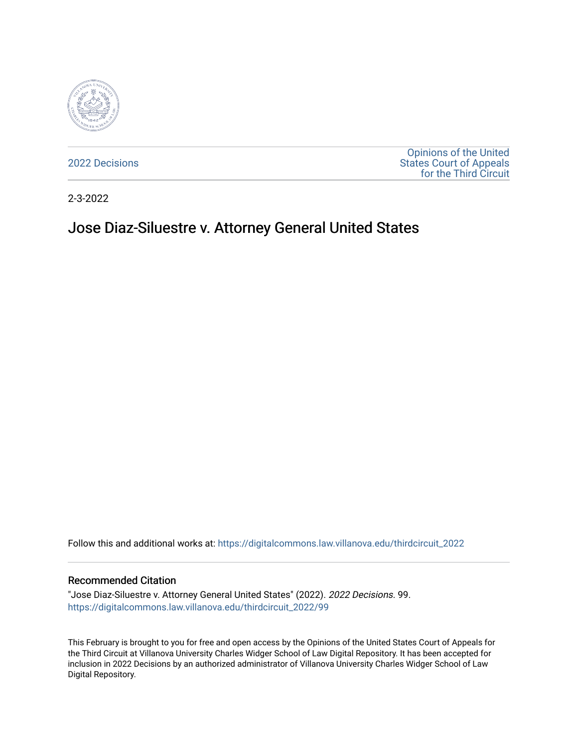

[2022 Decisions](https://digitalcommons.law.villanova.edu/thirdcircuit_2022)

[Opinions of the United](https://digitalcommons.law.villanova.edu/thirdcircuit)  [States Court of Appeals](https://digitalcommons.law.villanova.edu/thirdcircuit)  [for the Third Circuit](https://digitalcommons.law.villanova.edu/thirdcircuit) 

2-3-2022

# Jose Diaz-Siluestre v. Attorney General United States

Follow this and additional works at: [https://digitalcommons.law.villanova.edu/thirdcircuit\\_2022](https://digitalcommons.law.villanova.edu/thirdcircuit_2022?utm_source=digitalcommons.law.villanova.edu%2Fthirdcircuit_2022%2F99&utm_medium=PDF&utm_campaign=PDFCoverPages) 

#### Recommended Citation

"Jose Diaz-Siluestre v. Attorney General United States" (2022). 2022 Decisions. 99. [https://digitalcommons.law.villanova.edu/thirdcircuit\\_2022/99](https://digitalcommons.law.villanova.edu/thirdcircuit_2022/99?utm_source=digitalcommons.law.villanova.edu%2Fthirdcircuit_2022%2F99&utm_medium=PDF&utm_campaign=PDFCoverPages)

This February is brought to you for free and open access by the Opinions of the United States Court of Appeals for the Third Circuit at Villanova University Charles Widger School of Law Digital Repository. It has been accepted for inclusion in 2022 Decisions by an authorized administrator of Villanova University Charles Widger School of Law Digital Repository.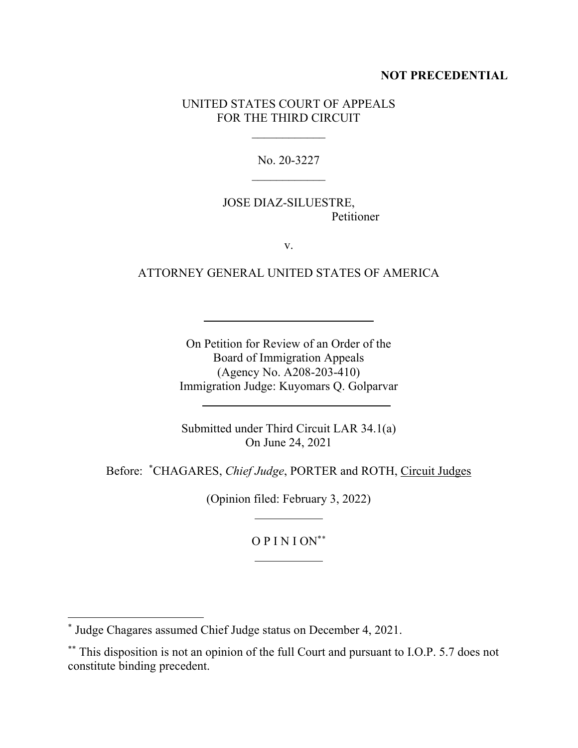## **NOT PRECEDENTIAL**

## UNITED STATES COURT OF APPEALS FOR THE THIRD CIRCUIT

 $\frac{1}{2}$ 

No. 20-3227  $\frac{1}{2}$ 

## JOSE DIAZ-SILUESTRE, Petitioner

v.

## ATTORNEY GENERAL UNITED STATES OF AMERICA

On Petition for Review of an Order of the Board of Immigration Appeals (Agency No. A208-203-410) Immigration Judge: Kuyomars Q. Golparvar

Submitted under Third Circuit LAR 34.1(a) On June 24, 2021

Before: \* CHAGARES, *Chief Judge*, PORTER and ROTH, Circuit Judges

(Opinion filed: February 3, 2022)

O P I N I ON\*\*

<sup>\*</sup> Judge Chagares assumed Chief Judge status on December 4, 2021.

<sup>\*\*</sup> This disposition is not an opinion of the full Court and pursuant to I.O.P. 5.7 does not constitute binding precedent.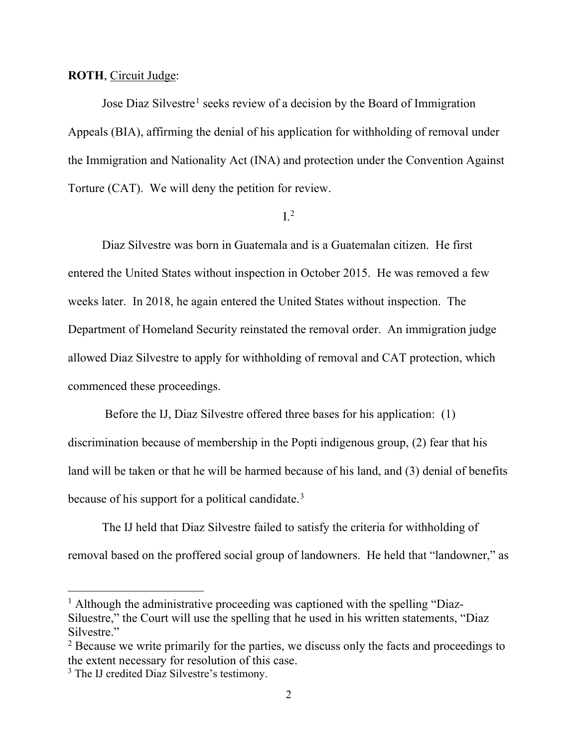#### **ROTH**, Circuit Judge:

Jose Diaz Silvestre<sup>1</sup> seeks review of a decision by the Board of Immigration Appeals (BIA), affirming the denial of his application for withholding of removal under the Immigration and Nationality Act (INA) and protection under the Convention Against Torture (CAT). We will deny the petition for review.

# $L^2$

Diaz Silvestre was born in Guatemala and is a Guatemalan citizen. He first entered the United States without inspection in October 2015. He was removed a few weeks later. In 2018, he again entered the United States without inspection. The Department of Homeland Security reinstated the removal order. An immigration judge allowed Diaz Silvestre to apply for withholding of removal and CAT protection, which commenced these proceedings.

Before the IJ, Diaz Silvestre offered three bases for his application: (1) discrimination because of membership in the Popti indigenous group, (2) fear that his land will be taken or that he will be harmed because of his land, and (3) denial of benefits because of his support for a political candidate.<sup>3</sup>

The IJ held that Diaz Silvestre failed to satisfy the criteria for withholding of removal based on the proffered social group of landowners. He held that "landowner," as

<sup>&</sup>lt;sup>1</sup> Although the administrative proceeding was captioned with the spelling "Diaz-Siluestre," the Court will use the spelling that he used in his written statements, "Diaz Silvestre."

<sup>&</sup>lt;sup>2</sup> Because we write primarily for the parties, we discuss only the facts and proceedings to the extent necessary for resolution of this case.

<sup>&</sup>lt;sup>3</sup> The IJ credited Diaz Silvestre's testimony.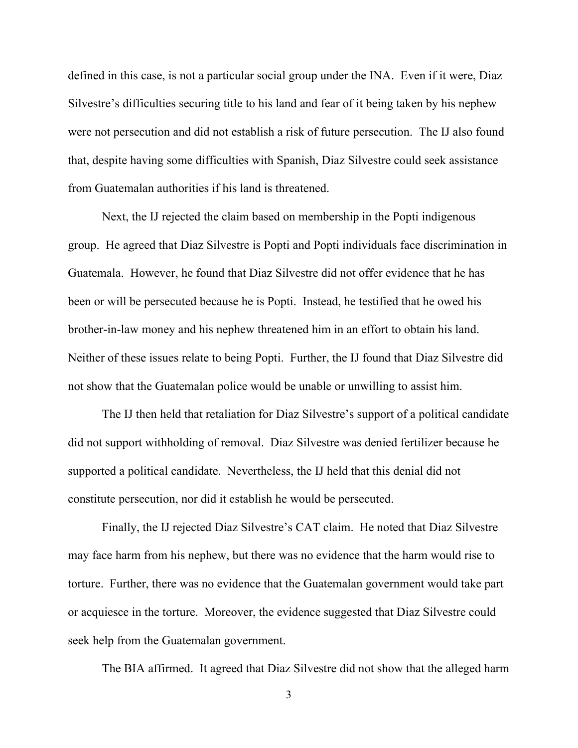defined in this case, is not a particular social group under the INA. Even if it were, Diaz Silvestre's difficulties securing title to his land and fear of it being taken by his nephew were not persecution and did not establish a risk of future persecution. The IJ also found that, despite having some difficulties with Spanish, Diaz Silvestre could seek assistance from Guatemalan authorities if his land is threatened.

Next, the IJ rejected the claim based on membership in the Popti indigenous group. He agreed that Diaz Silvestre is Popti and Popti individuals face discrimination in Guatemala. However, he found that Diaz Silvestre did not offer evidence that he has been or will be persecuted because he is Popti. Instead, he testified that he owed his brother-in-law money and his nephew threatened him in an effort to obtain his land. Neither of these issues relate to being Popti. Further, the IJ found that Diaz Silvestre did not show that the Guatemalan police would be unable or unwilling to assist him.

The IJ then held that retaliation for Diaz Silvestre's support of a political candidate did not support withholding of removal. Diaz Silvestre was denied fertilizer because he supported a political candidate. Nevertheless, the IJ held that this denial did not constitute persecution, nor did it establish he would be persecuted.

Finally, the IJ rejected Diaz Silvestre's CAT claim. He noted that Diaz Silvestre may face harm from his nephew, but there was no evidence that the harm would rise to torture. Further, there was no evidence that the Guatemalan government would take part or acquiesce in the torture. Moreover, the evidence suggested that Diaz Silvestre could seek help from the Guatemalan government.

The BIA affirmed. It agreed that Diaz Silvestre did not show that the alleged harm

3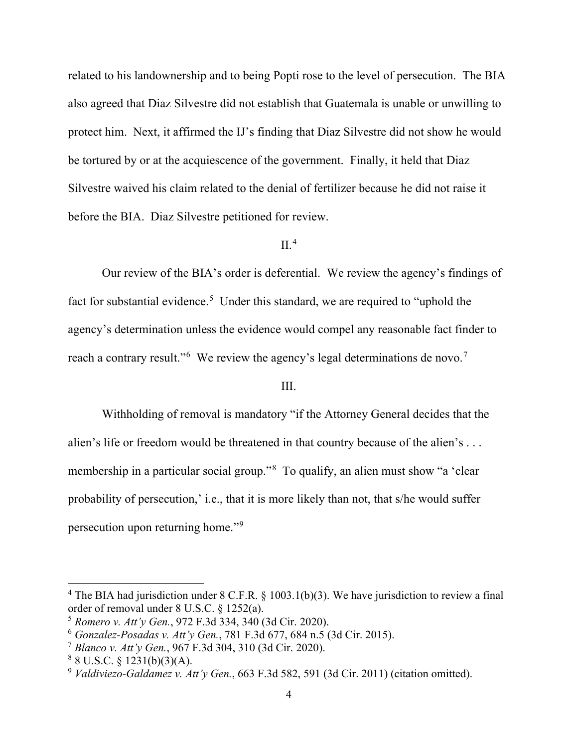related to his landownership and to being Popti rose to the level of persecution. The BIA also agreed that Diaz Silvestre did not establish that Guatemala is unable or unwilling to protect him. Next, it affirmed the IJ's finding that Diaz Silvestre did not show he would be tortured by or at the acquiescence of the government. Finally, it held that Diaz Silvestre waived his claim related to the denial of fertilizer because he did not raise it before the BIA. Diaz Silvestre petitioned for review.

#### $II.4$

Our review of the BIA's order is deferential. We review the agency's findings of fact for substantial evidence.<sup>5</sup> Under this standard, we are required to "uphold the agency's determination unless the evidence would compel any reasonable fact finder to reach a contrary result."<sup>6</sup> We review the agency's legal determinations de novo.<sup>7</sup>

## III.

Withholding of removal is mandatory "if the Attorney General decides that the alien's life or freedom would be threatened in that country because of the alien's . . . membership in a particular social group."<sup>8</sup> To qualify, an alien must show "a 'clear probability of persecution,' i.e., that it is more likely than not, that s/he would suffer persecution upon returning home."9

<sup>&</sup>lt;sup>4</sup> The BIA had jurisdiction under 8 C.F.R. § 1003.1(b)(3). We have jurisdiction to review a final order of removal under 8 U.S.C. § 1252(a).

<sup>5</sup> *Romero v. Att'y Gen.*, 972 F.3d 334, 340 (3d Cir. 2020).

<sup>6</sup> *Gonzalez-Posadas v. Att'y Gen.*, 781 F.3d 677, 684 n.5 (3d Cir. 2015).

<sup>7</sup> *Blanco v. Att'y Gen.*, 967 F.3d 304, 310 (3d Cir. 2020).

 $88 \text{ U.S.C.} \& 1231(b)(3)(A).$ 

<sup>9</sup> *Valdiviezo-Galdamez v. Att'y Gen.*, 663 F.3d 582, 591 (3d Cir. 2011) (citation omitted).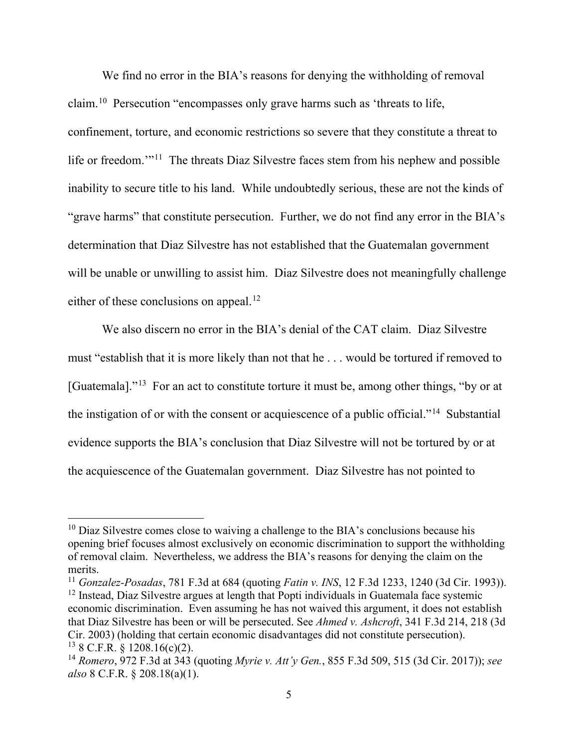We find no error in the BIA's reasons for denying the withholding of removal claim.10 Persecution "encompasses only grave harms such as 'threats to life, confinement, torture, and economic restrictions so severe that they constitute a threat to life or freedom."<sup>11</sup> The threats Diaz Silvestre faces stem from his nephew and possible inability to secure title to his land. While undoubtedly serious, these are not the kinds of "grave harms" that constitute persecution. Further, we do not find any error in the BIA's determination that Diaz Silvestre has not established that the Guatemalan government will be unable or unwilling to assist him. Diaz Silvestre does not meaningfully challenge either of these conclusions on appeal.<sup>12</sup>

We also discern no error in the BIA's denial of the CAT claim. Diaz Silvestre must "establish that it is more likely than not that he . . . would be tortured if removed to [Guatemala]."<sup>13</sup> For an act to constitute torture it must be, among other things, "by or at the instigation of or with the consent or acquiescence of a public official."14 Substantial evidence supports the BIA's conclusion that Diaz Silvestre will not be tortured by or at the acquiescence of the Guatemalan government. Diaz Silvestre has not pointed to

 $10$  Diaz Silvestre comes close to waiving a challenge to the BIA's conclusions because his opening brief focuses almost exclusively on economic discrimination to support the withholding of removal claim. Nevertheless, we address the BIA's reasons for denying the claim on the merits.

<sup>11</sup> *Gonzalez-Posadas*, 781 F.3d at 684 (quoting *Fatin v. INS*, 12 F.3d 1233, 1240 (3d Cir. 1993)). <sup>12</sup> Instead, Diaz Silvestre argues at length that Popti individuals in Guatemala face systemic economic discrimination. Even assuming he has not waived this argument, it does not establish that Diaz Silvestre has been or will be persecuted. See *Ahmed v. Ashcroft*, 341 F.3d 214, 218 (3d Cir. 2003) (holding that certain economic disadvantages did not constitute persecution).  $13$  8 C.F.R. § 1208.16(c)(2).

<sup>14</sup> *Romero*, 972 F.3d at 343 (quoting *Myrie v. Att'y Gen.*, 855 F.3d 509, 515 (3d Cir. 2017)); *see also* 8 C.F.R. § 208.18(a)(1).